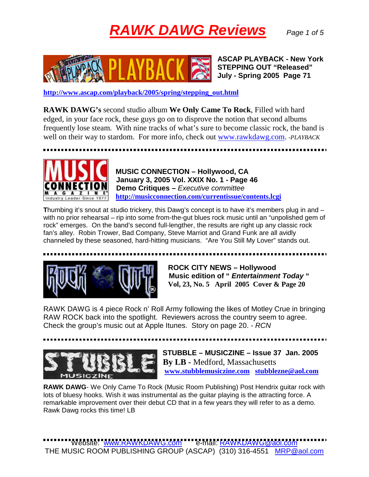## **RAWK DAWG Reviews** Page 1 of 5



 **ASCAP PLAYBACK - New York STEPPING OUT "Released" July - Spring 2005 Page 71** 

**http://www.ascap.com/playback/2005/spring/stepping\_out.html**

**RAWK DAWG's** second studio album **We Only Came To Rock**, Filled with hard edged, in your face rock, these guys go on to disprove the notion that second albums frequently lose steam. With nine tracks of what's sure to become classic rock, the band is well on their way to stardom. For more info, check out www.rawkdawg.com. *-PLAYBACK* 

 **MUSIC CONNECTION – Hollywood, CA January 3, 2005 Vol. XXIX No. 1 - Page 46 <u>DINNEL IIUN</u>** Demo Critiques – Executive committee Industry Leader Since 1977 http://musicconnection.com/currentissue/contents.lcgi

**T**humbing it's snout at studio trickery, this Dawg's concept is to have it's members plug in and – with no prior rehearsal – rip into some from-the-gut blues rock music until an "unpolished gem of rock" emerges. On the band's second full-lengther, the results are right up any classic rock fan's alley. Robin Trower, Bad Company, Steve Marriot and Grand Funk are all avidly channeled by these seasoned, hard-hitting musicians. "Are You Still My Lover" stands out.



 **ROCK CITY NEWS – Hollywood Music edition of " Entertainment Today " Vol, 23, No. 5 April 2005 Cover & Page 20** 

RAWK DAWG is 4 piece Rock n' Roll Army following the likes of Motley Crue in bringing RAW ROCK back into the spotlight. Reviewers across the country seem to agree. Check the group's music out at Apple Itunes. Story on page 20. - RCN



 **STUBBLE – MUSICZINE – Issue 37 Jan. 2005 By LB -** Medford, Massachusetts  **www.stubblemusiczine.com stubblezne@aol.com**

**RAWK DAWG**- We Only Came To Rock (Music Room Publishing) Post Hendrix guitar rock with lots of bluesy hooks. Wish it was instrumental as the guitar playing is the attracting force. A remarkable improvement over their debut CD that in a few years they will refer to as a demo. Rawk Dawg rocks this time! LB

Website: www.RAWKDAWG.com e-mail: RAWKDAWG@aol.com THE MUSIC ROOM PUBLISHING GROUP (ASCAP) (310) 316-4551 MRP@aol.com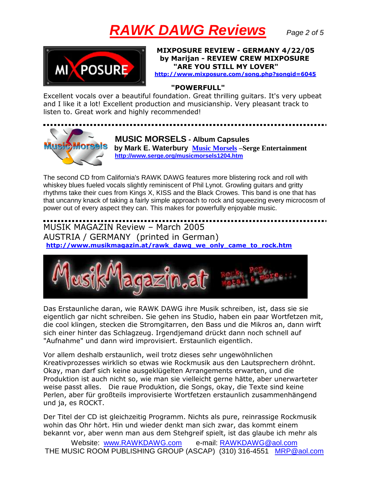## **RAWK DAWG Reviews** Page 2 of 5



**XPOSURE REVIEW - GERMANY 4/22/05** by Marijan - REVIEW CREW MIXPOSURE "ARE YOU STILL MY LOVER"

http://www.mixposure.com/song.php?songid=6045

## "POWERFULL"

Excellent vocals over a beautiful foundation. Great thrilling guitars. It's very upbeat and I like it a lot! Excellent production and musicianship. Very pleasant track to listen to. Great work and highly recommended!



 **MUSIC MORSELS - Album Capsules by Mark E. Waterbury Music Morsels –Serge Entertainment http://www.serge.org/musicmorsels1204.htm**

The second CD from California's RAWK DAWG features more blistering rock and roll with whiskey blues fueled vocals slightly reminiscent of Phil Lynot. Growling guitars and gritty rhythms take their cues from Kings X, KISS and the Black Crowes. This band is one that has that uncanny knack of taking a fairly simple approach to rock and squeezing every microcosm of power out of every aspect they can. This makes for powerfully enjoyable music.

MUSIK MAGAZIN Review - March 2005 AUSTRIA / GERMANY (printed in German) http://www.musikmagazin.at/rawk dawg we only came to rock.htm



Das Erstaunliche daran, wie RAWK DAWG ihre Musik schreiben, ist, dass sie sie eigentlich gar nicht schreiben. Sie gehen ins Studio, haben ein paar Wortfetzen mit, die cool klingen, stecken die Stromgitarren, den Bass und die Mikros an, dann wirft sich einer hinter das Schlagzeug. Irgendjemand drückt dann noch schnell auf "Aufnahme" und dann wird improvisiert. Erstaunlich eigentlich.

Vor allem deshalb erstaunlich, weil trotz dieses sehr ungewöhnlichen Kreativprozesses wirklich so etwas wie Rockmusik aus den Lautsprechern dröhnt. Okay, man darf sich keine ausgeklügelten Arrangements erwarten, und die Produktion ist auch nicht so, wie man sie vielleicht gerne hätte, aber unerwarteter weise passt alles. Die raue Produktion, die Songs, okay, die Texte sind keine Perlen, aber für großteils improvisierte Wortfetzen erstaunlich zusammenhängend und ja, es ROCKT.

Der Titel der CD ist gleichzeitig Programm. Nichts als pure, reinrassige Rockmusik wohin das Ohr hört. Hin und wieder denkt man sich zwar, das kommt einem bekannt vor, aber wenn man aus dem Stehgreif spielt, ist das glaube ich mehr als

Website: www.RAWKDAWG.com e-mail: RAWKDAWG@aol.com THE MUSIC ROOM PUBLISHING GROUP (ASCAP) (310) 316-4551 MRP@aol.com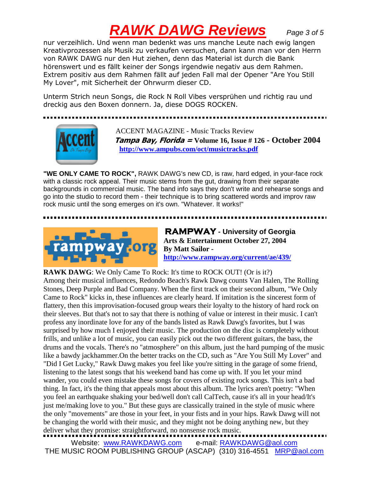## **RAWK DAWG Reviews** Page 3 of 5

nur verzeihlich. Und wenn man bedenkt was uns manche Leute nach ewig langen Kreativprozessen als Musik zu verkaufen versuchen, dann kann man vor den Herrn von RAWK DAWG nur den Hut ziehen, denn das Material ist durch die Bank hörenswert und es fällt keiner der Songs irgendwie negativ aus dem Rahmen. Extrem positiv aus dem Rahmen fällt auf jeden Fall mal der Opener "Are You Still My Lover", mit Sicherheit der Ohrwurm dieser CD.

Unterm Strich neun Songs, die Rock N Roll Vibes versprühen und richtig rau und dreckig aus den Boxen donnern. Ja, diese DOGS ROCKEN.



 ACCENT MAGAZINE - Music Tracks Review *Jampa Bay, Florida = Volume 16, Issue # 126 - October 2004*  **http://www.ampubs.com/oct/musictracks.pdf**

**"WE ONLY CAME TO ROCK",** RAWK DAWG's new CD, is raw, hard edged, in your-face rock with a classic rock appeal. Their music stems from the gut, drawing from their separate backgrounds in commercial music. The band info says they don't write and rehearse songs and go into the studio to record them - their technique is to bring scattered words and improv raw rock music until the song emerges on it's own. "Whatever. It works!"



**RAMPWAY - University of Georgia Arts & Entertainment October 27, 2004 http://www.rampway.org/current/ae/439/**

**RAWK DAWG:** We Only Came To Rock: It's time to ROCK OUT! (Or is it?)

Among their musical influences, Redondo Beach's Rawk Dawg counts Van Halen, The Rolling Stones, Deep Purple and Bad Company. When the first track on their second album, "We Only Came to Rock" kicks in, these influences are clearly heard. If imitation is the sincerest form of flattery, then this improvisation-focused group wears their loyalty to the history of hard rock on their sleeves. But that's not to say that there is nothing of value or interest in their music. I can't profess any inordinate love for any of the bands listed as Rawk Dawg's favorites, but I was surprised by how much I enjoyed their music. The production on the disc is completely without frills, and unlike a lot of music, you can easily pick out the two different guitars, the bass, the drums and the vocals. There's no "atmosphere" on this album, just the hard pumping of the music like a bawdy jackhammer.On the better tracks on the CD, such as "Are You Still My Lover" and "Did I Get Lucky," Rawk Dawg makes you feel like you're sitting in the garage of some friend, listening to the latest songs that his weekend band has come up with. If you let your mind wander, you could even mistake these songs for covers of existing rock songs. This isn't a bad thing. In fact, it's the thing that appeals most about this album. The lyrics aren't poetry: "When you feel an earthquake shaking your bed/well don't call CalTech, cause it's all in your head/It's just me/making love to you." But these guys are classically trained in the style of music where the only "movements" are those in your feet, in your fists and in your hips. Rawk Dawg will not be changing the world with their music, and they might not be doing anything new, but they deliver what they promise: straightforward, no nonsense rock music.

Website: www.RAWKDAWG.com e-mail: RAWKDAWG@aol.com THE MUSIC ROOM PUBLISHING GROUP (ASCAP) (310) 316-4551 MRP@aol.com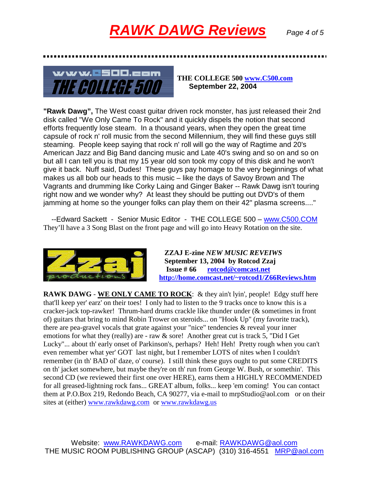



**THE COLLEGE 500 www.C500.com September 22, 2004** 

**"Rawk Dawg",** The West coast guitar driven rock monster, has just released their 2nd disk called "We Only Came To Rock" and it quickly dispels the notion that second efforts frequently lose steam. In a thousand years, when they open the great time capsule of rock n' roll music from the second Millennium, they will find these guys still steaming. People keep saying that rock n' roll will go the way of Ragtime and 20's American Jazz and Big Band dancing music and Late 40's swing and so on and so on but all I can tell you is that my 15 year old son took my copy of this disk and he won't give it back. Nuff said, Dudes! These guys pay homage to the very beginnings of what makes us all bob our heads to this music – like the days of Savoy Brown and The Vagrants and drumming like Corky Laing and Ginger Baker -- Rawk Dawg isn't touring right now and we wonder why? At least they should be putting out DVD's of them jamming at home so the younger folks can play them on their 42" plasma screens...."

 --Edward Sackett - Senior Music Editor - THE COLLEGE 500 – www.C500.COM They'll have a 3 Song Blast on the front page and will go into Heavy Rotation on the site.



 **ZZAJ E-zine** *NEW MUSIC REVEIWS* **September 13, 2004 by Rotcod Zzaj Issue # 66 rotcod@comcast.net http://home.comcast.net/~rotcod1/Z66Reviews.htm**

**RAWK DAWG** - **WE ONLY CAME TO ROCK**: & they ain't lyin', people! Edgy stuff here that'll keep yer' earz' on their toes! I only had to listen to the 9 tracks once to know this is a cracker-jack top-rawker! Thrum-hard drums crackle like thunder under (& sometimes in front of) guitars that bring to mind Robin Trower on steroids... on "Hook Up" (my favorite track), there are pea-gravel vocals that grate against your "nice" tendencies & reveal your inner emotions for what they (really) are - raw & sore! Another great cut is track 5, "Did I Get Lucky"... about th' early onset of Parkinson's, perhaps? Heh! Heh! Pretty rough when you can't even remember what yer' GOT last night, but I remember LOTS of nites when I couldn't remember (in th' BAD ol' daze, o' course). I still think these guys ought to put some CREDITS on th' jacket somewhere, but maybe they're on th' run from George W. Bush, or somethin'. This second CD (we reviewed their first one over HERE), earns them a HIGHLY RECOMMENDED for all greased-lightning rock fans... GREAT album, folks... keep 'em coming! You can contact them at P.O.Box 219, Redondo Beach, CA 90277, via e-mail to mrpStudio@aol.com or on their sites at (either) www.rawkdawg.com or www.rawkdawg.us